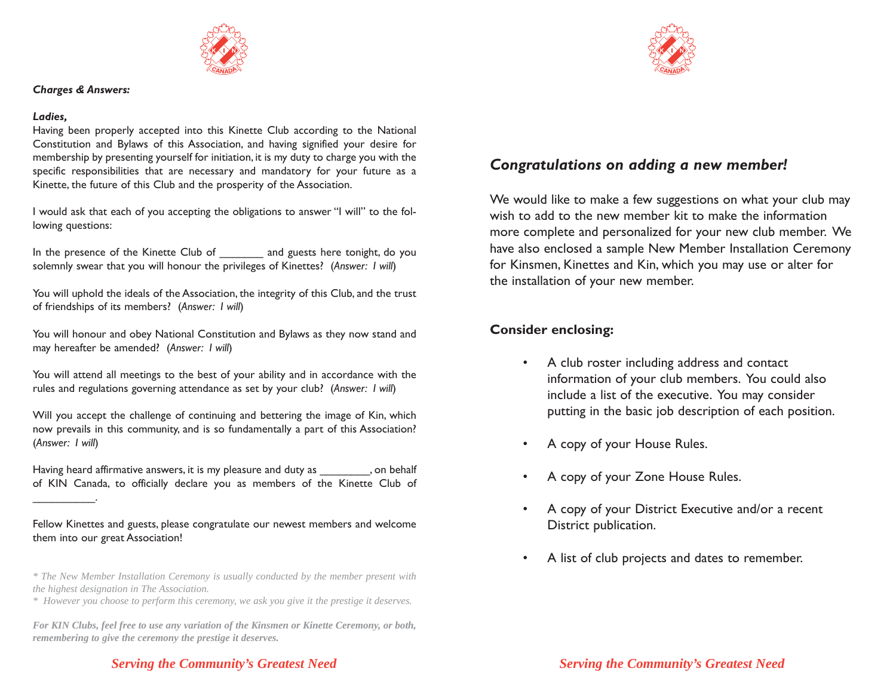

## *Charges & Answers:*

#### *Ladies,*

\_\_\_\_\_\_\_\_\_\_.

Having been properly accepted into this Kinette Club according to the National Constitution and Bylaws of this Association, and having signified your desire for membership by presenting yourself for initiation, it is my duty to charge you with the specific responsibilities that are necessary and mandatory for your future as a Kinette, the future of this Club and the prosperity of the Association.

I would ask that each of you accepting the obligations to answer "I will" to the following questions:

In the presence of the Kinette Club of and guests here tonight, do you solemnly swear that you will honour the privileges of Kinettes? (*Answer: I will*)

You will uphold the ideals of the Association, the integrity of this Club, and the trust of friendships of its members? (*Answer: I will*)

You will honour and obey National Constitution and Bylaws as they now stand and may hereafter be amended? (Answer: *I will*)

You will attend all meetings to the best of your ability and in accordance with the rules and regulations governing attendance as set by your club? (*Answer: I will*)

Will you accept the challenge of continuing and bettering the image of Kin, which now prevails in this community, and is so fundamentally a part of this Association? (*Answer: I will*)

Having heard affirmative answers, it is my pleasure and duty as \_\_\_\_\_\_\_\_, on behalf of KIN Canada, to officially declare you as members of the Kinette Club of

Fellow Kinettes and guests, please congratulate our newest members and welcome them into our great Association!

*\* The New Member Installation Ceremony is usually conducted by the member present with the highest designation in The Association.*

*\* However you choose to perform this ceremony, we ask you give it the prestige it deserves.*

*For KIN Clubs, feel free to use any variation of the Kinsmen or Kinette Ceremony, or both, remembering to give the ceremony the prestige it deserves.*

## *Serving the Community's Greatest Need Serving the Community's Greatest Need*



# *Congratulations on adding a new member!*

We would like to make a few suggestions on what your club may wish to add to the new member kit to make the information more complete and personalized for your new club member. We have also enclosed a sample New Member Installation Ceremony for Kinsmen, Kinettes and Kin, which you may use or alter for the installation of your new member.

## **Consider enclosing:**

- • A club roster including address and contact information of your club members. You could also include a list of the executive. You may consider putting in the basic job description of each position.
- •A copy of your House Rules.
- •A copy of your Zone House Rules.
- • A copy of your District Executive and/or a recent District publication.
- •A list of club projects and dates to remember.